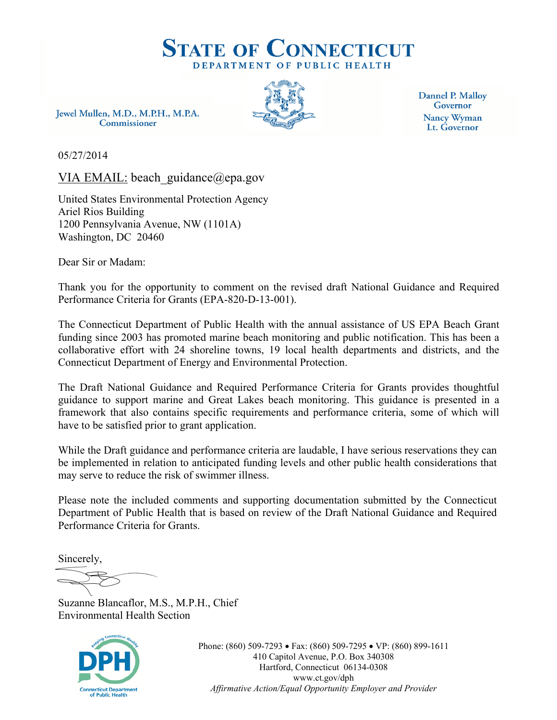

Jewel Mullen, M.D., M.P.H., M.P.A. Commissioner



Dannel P. Malloy Governor Nancy Wyman Lt. Governor

05/27/2014

VIA EMAIL: beach guidance@epa.gov

United States Environmental Protection Agency Ariel Rios Building 1200 Pennsylvania Avenue, NW (1101A) Washington, DC 20460

Dear Sir or Madam:

Thank you for the opportunity to comment on the revised draft National Guidance and Required Performance Criteria for Grants (EPA-820-D-13-001).

The Connecticut Department of Public Health with the annual assistance of US EPA Beach Grant funding since 2003 has promoted marine beach monitoring and public notification. This has been a collaborative effort with 24 shoreline towns, 19 local health departments and districts, and the Connecticut Department of Energy and Environmental Protection.

The Draft National Guidance and Required Performance Criteria for Grants provides thoughtful guidance to support marine and Great Lakes beach monitoring. This guidance is presented in a framework that also contains specific requirements and performance criteria, some of which will have to be satisfied prior to grant application.

While the Draft guidance and performance criteria are laudable, I have serious reservations they can be implemented in relation to anticipated funding levels and other public health considerations that may serve to reduce the risk of swimmer illness.

Please note the included comments and supporting documentation submitted by the Connecticut Department of Public Health that is based on review of the Draft National Guidance and Required Performance Criteria for Grants.

Sincerely,

Suzanne Blancaflor, M.S., M.P.H., Chief Environmental Health Section



Phone: (860) 509-7293 • Fax: (860) 509-7295 • VP: (860) 899-1611 410 Capitol Avenue, P.O. Box 340308 Hartford, Connecticut 06134-0308 www.ct.gov/dph *Affirmative Action/Equal Opportunity Employer and Provider*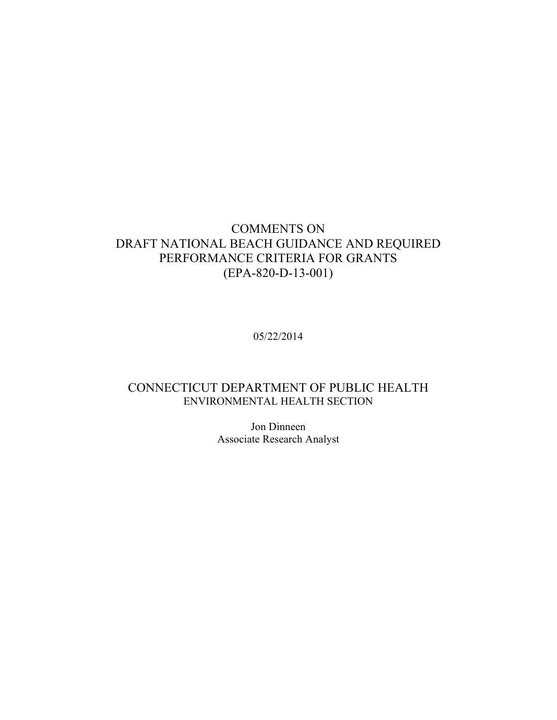### COMMENTS ON DRAFT NATIONAL BEACH GUIDANCE AND REQUIRED PERFORMANCE CRITERIA FOR GRANTS (EPA-820-D-13-001)

05/22/2014

### CONNECTICUT DEPARTMENT OF PUBLIC HEALTH ENVIRONMENTAL HEALTH SECTION

Jon Dinneen Associate Research Analyst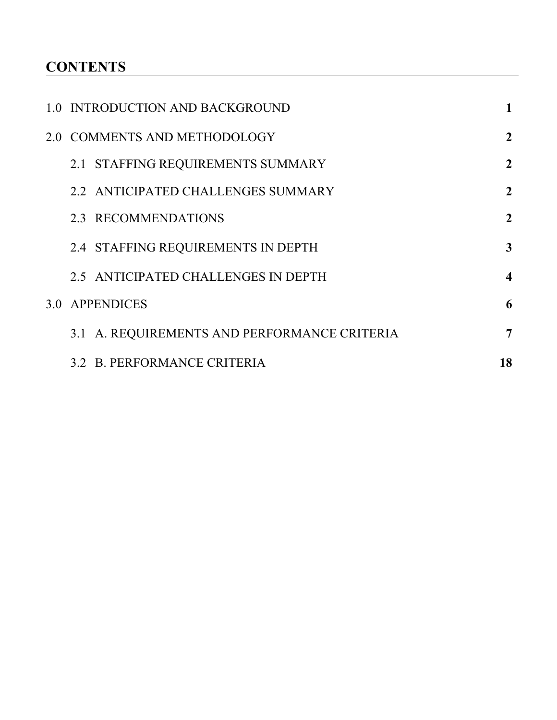# **CONTENTS**

| 1.0 INTRODUCTION AND BACKGROUND              |                         |
|----------------------------------------------|-------------------------|
| 2.0 COMMENTS AND METHODOLOGY                 | $\boldsymbol{2}$        |
| 2.1 STAFFING REQUIREMENTS SUMMARY            | $\overline{2}$          |
| 2.2 ANTICIPATED CHALLENGES SUMMARY           | $\overline{2}$          |
| 2.3 RECOMMENDATIONS                          | $\overline{2}$          |
| 2.4 STAFFING REQUIREMENTS IN DEPTH           | 3                       |
| 2.5 ANTICIPATED CHALLENGES IN DEPTH          | $\overline{\mathbf{4}}$ |
| 3.0 APPENDICES                               | 6                       |
| 3.1 A. REQUIREMENTS AND PERFORMANCE CRITERIA | 7                       |
| 3.2 B. PERFORMANCE CRITERIA                  | 18                      |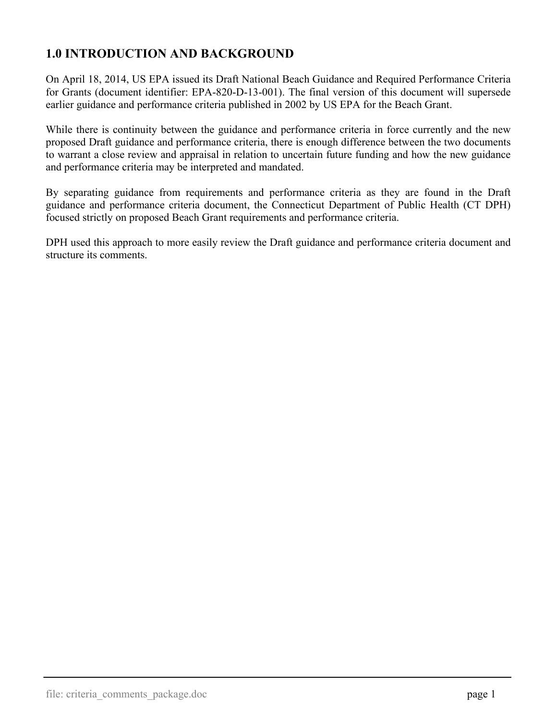# <span id="page-3-0"></span>**1.0 INTRODUCTION AND BACKGROUND**

On April 18, 2014, US EPA issued its Draft National Beach Guidance and Required Performance Criteria for Grants (document identifier: EPA-820-D-13-001). The final version of this document will supersede earlier guidance and performance criteria published in 2002 by US EPA for the Beach Grant.

While there is continuity between the guidance and performance criteria in force currently and the new proposed Draft guidance and performance criteria, there is enough difference between the two documents to warrant a close review and appraisal in relation to uncertain future funding and how the new guidance and performance criteria may be interpreted and mandated.

By separating guidance from requirements and performance criteria as they are found in the Draft guidance and performance criteria document, the Connecticut Department of Public Health (CT DPH) focused strictly on proposed Beach Grant requirements and performance criteria.

DPH used this approach to more easily review the Draft guidance and performance criteria document and structure its comments.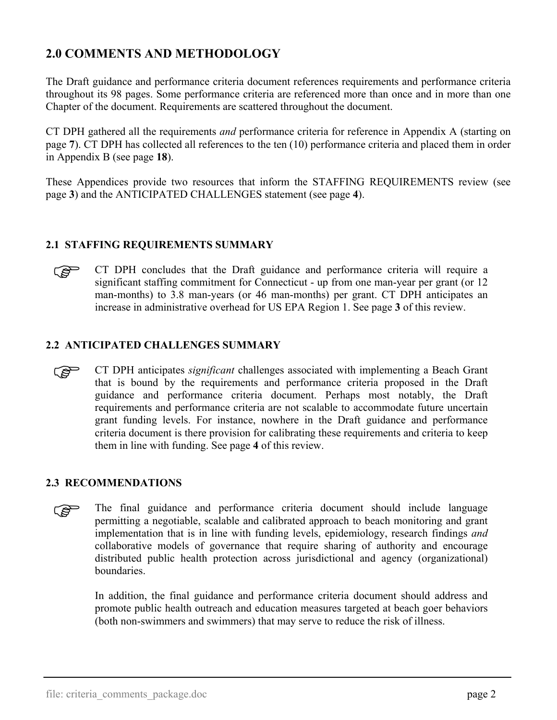# <span id="page-4-0"></span>**2.0 COMMENTS AND METHODOLOGY**

The Draft guidance and performance criteria document references requirements and performance criteria throughout its 98 pages. Some performance criteria are referenced more than once and in more than one Chapter of the document. Requirements are scattered throughout the document.

CT DPH gathered all the requirements *and* performance criteria for reference in Appendix A (starting on page **[7](#page-9-0)**). CT DPH has collected all references to the ten (10) performance criteria and placed them in order in Appendix B (see page **[18](#page-20-0)**).

These Appendices provide two resources that inform the STAFFING REQUIREMENTS review (see page **[3](#page-5-0)**) and the ANTICIPATED CHALLENGES statement (see page **[4](#page-6-0)**).

#### **2.1 STAFFING REQUIREMENTS SUMMARY**

ి గౌ

CT DPH concludes that the Draft guidance and performance criteria will require a significant staffing commitment for Connecticut - up from one man-year per grant (or 12 man-months) to 3.8 man-years (or 46 man-months) per grant. CT DPH anticipates an increase in administrative overhead for US EPA Region 1. See page **[3](#page-5-0)** of this review.

#### **2.2 ANTICIPATED CHALLENGES SUMMARY**

CT DPH anticipates *significant* challenges associated with implementing a Beach Grant that is bound by the requirements and performance criteria proposed in the Draft guidance and performance criteria document. Perhaps most notably, the Draft requirements and performance criteria are not scalable to accommodate future uncertain grant funding levels. For instance, nowhere in the Draft guidance and performance criteria document is there provision for calibrating these requirements and criteria to keep them in line with funding. See page **[4](#page-6-0)** of this review. كاني

#### **2.3 RECOMMENDATIONS**

The final guidance and performance criteria document should include language permitting a negotiable, scalable and calibrated approach to beach monitoring and grant implementation that is in line with funding levels, epidemiology, research findings *and* collaborative models of governance that require sharing of authority and encourage distributed public health protection across jurisdictional and agency (organizational) boundaries. الہج

In addition, the final guidance and performance criteria document should address and promote public health outreach and education measures targeted at beach goer behaviors (both non-swimmers and swimmers) that may serve to reduce the risk of illness.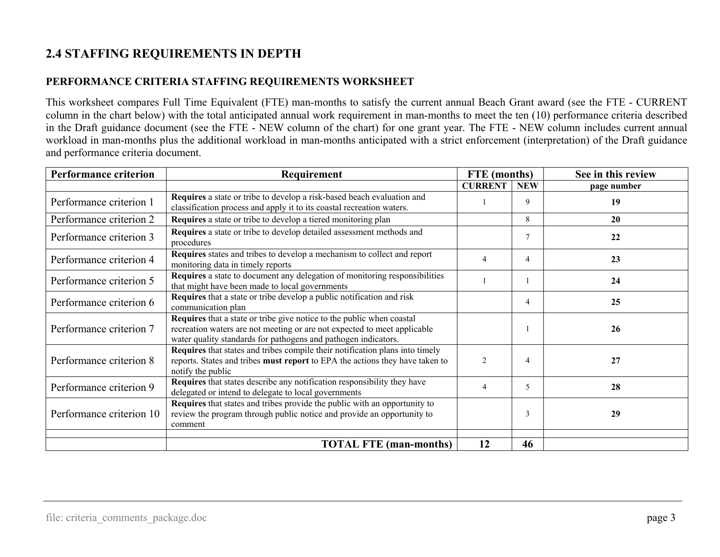# **2.4 STAFFING REQUIREMENTS IN DEPTH**

### **PERFORMANCE CRITERIA STAFFING REQUIREMENTS WORKSHEET**

This worksheet compares Full Time Equivalent (FTE) man-months to satisfy the current annual Beach Grant award (see the FTE - CURRENT column in the chart below) with the total anticipated annual work requirement in man-months to meet the ten (10) performance criteria described in the Draft guidance document (see the FTE - NEW column of the chart) for one grant year. The FTE - NEW column includes current annual workload in man-months plus the additional workload in man-months anticipated with a strict enforcement (interpretation) of the Draft guidance and performance criteria document.

<span id="page-5-0"></span>

| <b>Performance criterion</b> | Requirement                                                                                                                                                                                                         | FTE (months)   |            | See in this review |  |
|------------------------------|---------------------------------------------------------------------------------------------------------------------------------------------------------------------------------------------------------------------|----------------|------------|--------------------|--|
|                              |                                                                                                                                                                                                                     | <b>CURRENT</b> | <b>NEW</b> | page number        |  |
| Performance criterion 1      | Requires a state or tribe to develop a risk-based beach evaluation and<br>classification process and apply it to its coastal recreation waters.                                                                     |                | 9          | 19                 |  |
| Performance criterion 2      | Requires a state or tribe to develop a tiered monitoring plan                                                                                                                                                       |                | 8          | 20                 |  |
| Performance criterion 3      | Requires a state or tribe to develop detailed assessment methods and<br>procedures                                                                                                                                  |                | 7          | 22                 |  |
| Performance criterion 4      | Requires states and tribes to develop a mechanism to collect and report<br>monitoring data in timely reports                                                                                                        |                | 4          | 23                 |  |
| Performance criterion 5      | Requires a state to document any delegation of monitoring responsibilities<br>that might have been made to local governments                                                                                        |                |            | 24                 |  |
| Performance criterion 6      | Requires that a state or tribe develop a public notification and risk<br>communication plan                                                                                                                         |                | 4          | 25                 |  |
| Performance criterion 7      | Requires that a state or tribe give notice to the public when coastal<br>recreation waters are not meeting or are not expected to meet applicable<br>water quality standards for pathogens and pathogen indicators. |                |            | 26                 |  |
| Performance criterion 8      | <b>Requires</b> that states and tribes compile their notification plans into timely<br>reports. States and tribes must report to EPA the actions they have taken to<br>notify the public                            | $\overline{c}$ | 4          | 27                 |  |
| Performance criterion 9      | Requires that states describe any notification responsibility they have<br>delegated or intend to delegate to local governments                                                                                     | $\overline{4}$ | 5          | 28                 |  |
| Performance criterion 10     | Requires that states and tribes provide the public with an opportunity to<br>review the program through public notice and provide an opportunity to<br>comment                                                      |                | 3          | 29                 |  |
|                              | <b>TOTAL FTE (man-months)</b>                                                                                                                                                                                       | 12             | 46         |                    |  |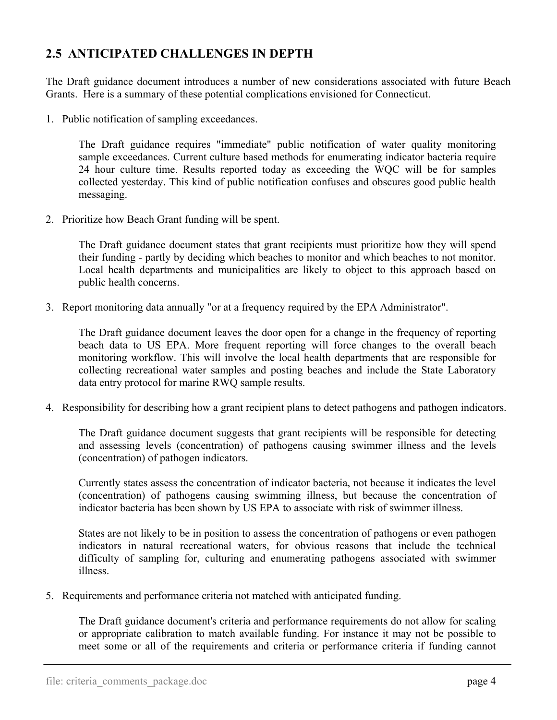## **2.5 ANTICIPATED CHALLENGES IN DEPTH**

The Draft guidance document introduces a number of new considerations associated with future Beach Grants. Here is a summary of these potential complications envisioned for Connecticut.

1. Public notification of sampling exceedances.

<span id="page-6-0"></span> The Draft guidance requires "immediate" public notification of water quality monitoring sample exceedances. Current culture based methods for enumerating indicator bacteria require 24 hour culture time. Results reported today as exceeding the WQC will be for samples collected yesterday. This kind of public notification confuses and obscures good public health messaging.

2. Prioritize how Beach Grant funding will be spent.

 The Draft guidance document states that grant recipients must prioritize how they will spend their funding - partly by deciding which beaches to monitor and which beaches to not monitor. Local health departments and municipalities are likely to object to this approach based on public health concerns.

3. Report monitoring data annually "or at a frequency required by the EPA Administrator".

 The Draft guidance document leaves the door open for a change in the frequency of reporting beach data to US EPA. More frequent reporting will force changes to the overall beach monitoring workflow. This will involve the local health departments that are responsible for collecting recreational water samples and posting beaches and include the State Laboratory data entry protocol for marine RWQ sample results.

4. Responsibility for describing how a grant recipient plans to detect pathogens and pathogen indicators.

 The Draft guidance document suggests that grant recipients will be responsible for detecting and assessing levels (concentration) of pathogens causing swimmer illness and the levels (concentration) of pathogen indicators.

 Currently states assess the concentration of indicator bacteria, not because it indicates the level (concentration) of pathogens causing swimming illness, but because the concentration of indicator bacteria has been shown by US EPA to associate with risk of swimmer illness.

 States are not likely to be in position to assess the concentration of pathogens or even pathogen indicators in natural recreational waters, for obvious reasons that include the technical difficulty of sampling for, culturing and enumerating pathogens associated with swimmer illness.

5. Requirements and performance criteria not matched with anticipated funding.

 The Draft guidance document's criteria and performance requirements do not allow for scaling or appropriate calibration to match available funding. For instance it may not be possible to meet some or all of the requirements and criteria or performance criteria if funding cannot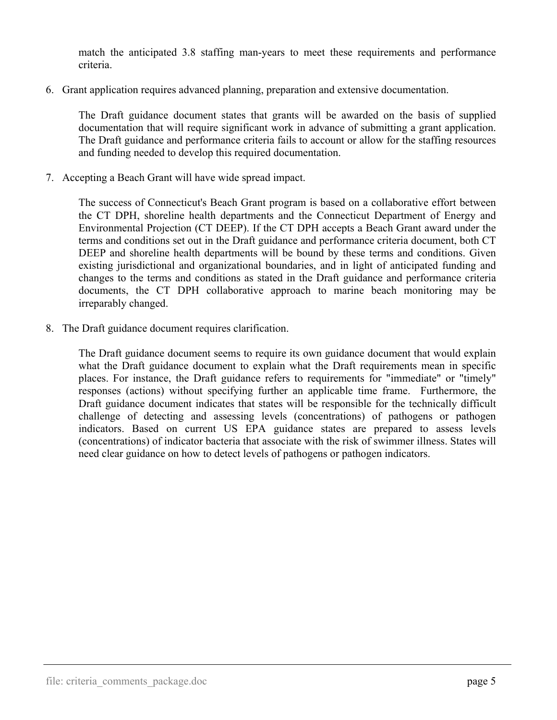match the anticipated 3.8 staffing man-years to meet these requirements and performance criteria.

6. Grant application requires advanced planning, preparation and extensive documentation.

 The Draft guidance document states that grants will be awarded on the basis of supplied documentation that will require significant work in advance of submitting a grant application. The Draft guidance and performance criteria fails to account or allow for the staffing resources and funding needed to develop this required documentation.

7. Accepting a Beach Grant will have wide spread impact.

 The success of Connecticut's Beach Grant program is based on a collaborative effort between the CT DPH, shoreline health departments and the Connecticut Department of Energy and Environmental Projection (CT DEEP). If the CT DPH accepts a Beach Grant award under the terms and conditions set out in the Draft guidance and performance criteria document, both CT DEEP and shoreline health departments will be bound by these terms and conditions. Given existing jurisdictional and organizational boundaries, and in light of anticipated funding and changes to the terms and conditions as stated in the Draft guidance and performance criteria documents, the CT DPH collaborative approach to marine beach monitoring may be irreparably changed.

8. The Draft guidance document requires clarification.

 The Draft guidance document seems to require its own guidance document that would explain what the Draft guidance document to explain what the Draft requirements mean in specific places. For instance, the Draft guidance refers to requirements for "immediate" or "timely" responses (actions) without specifying further an applicable time frame. Furthermore, the Draft guidance document indicates that states will be responsible for the technically difficult challenge of detecting and assessing levels (concentrations) of pathogens or pathogen indicators. Based on current US EPA guidance states are prepared to assess levels (concentrations) of indicator bacteria that associate with the risk of swimmer illness. States will need clear guidance on how to detect levels of pathogens or pathogen indicators.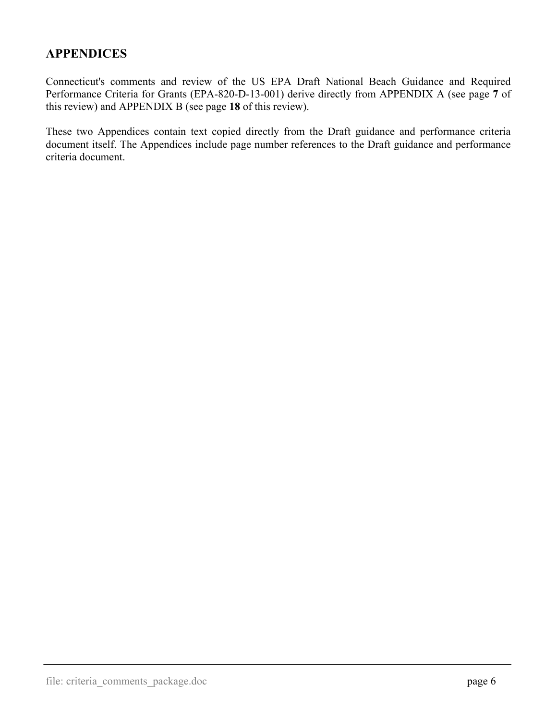## <span id="page-8-0"></span>**APPENDICES**

Connecticut's comments and review of the US EPA Draft National Beach Guidance and Required Performance Criteria for Grants (EPA-820-D-13-001) derive directly from APPENDIX A (see page **[7](#page-9-0)** of this review) and APPENDIX B (see page **[18](#page-20-0)** of this review).

These two Appendices contain text copied directly from the Draft guidance and performance criteria document itself. The Appendices include page number references to the Draft guidance and performance criteria document.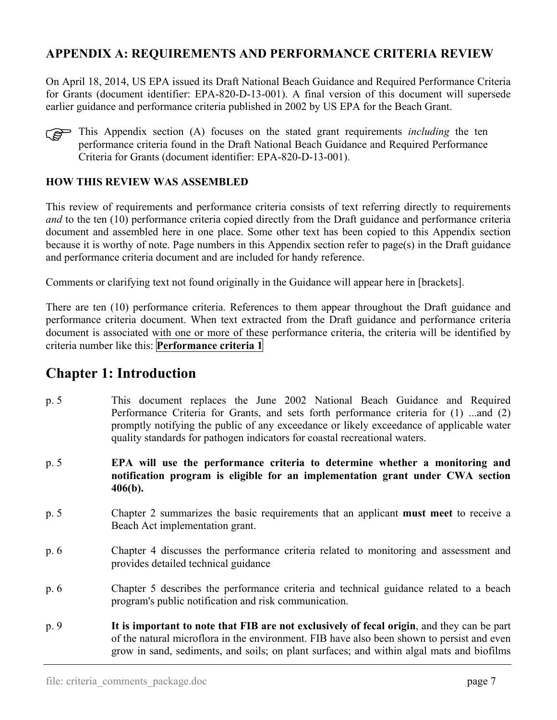## <span id="page-9-0"></span>**APPENDIX A: REQUIREMENTS AND PERFORMANCE CRITERIA REVIEW**

On April 18, 2014, US EPA issued its Draft National Beach Guidance and Required Performance Criteria for Grants (document identifier: EPA-820-D-13-001). A final version of this document will supersede earlier guidance and performance criteria published in 2002 by US EPA for the Beach Grant.



This Appendix section (A) focuses on the stated grant requirements *including* the ten performance criteria found in the Draft National Beach Guidance and Required Performance performance criteria found in the Draft National Beach Guidance and Required Performance Criteria for Grants (document identifier: EPA-820-D-13-001).

#### **HOW THIS REVIEW WAS ASSEMBLED**

This review of requirements and performance criteria consists of text referring directly to requirements *and* to the ten (10) performance criteria copied directly from the Draft guidance and performance criteria document and assembled here in one place. Some other text has been copied to this Appendix section because it is worthy of note. Page numbers in this Appendix section refer to page(s) in the Draft guidance and performance criteria document and are included for handy reference.

Comments or clarifying text not found originally in the Guidance will appear here in [brackets].

There are ten (10) performance criteria. References to them appear throughout the Draft guidance and performance criteria document. When text extracted from the Draft guidance and performance criteria document is associated with one or more of these performance criteria, the criteria will be identified by criteria number like this: **Performance criteria 1**

## **Chapter 1: Introduction**

- p. 5 This document replaces the June 2002 National Beach Guidance and Required Performance Criteria for Grants, and sets forth performance criteria for (1) ...and (2) promptly notifying the public of any exceedance or likely exceedance of applicable water quality standards for pathogen indicators for coastal recreational waters.
- p. 5 **EPA will use the performance criteria to determine whether a monitoring and notification program is eligible for an implementation grant under CWA section 406(b).**
- p. 5 Chapter 2 summarizes the basic requirements that an applicant **must meet** to receive a Beach Act implementation grant.
- p. 6 Chapter 4 discusses the performance criteria related to monitoring and assessment and provides detailed technical guidance
- p. 6 Chapter 5 describes the performance criteria and technical guidance related to a beach program's public notification and risk communication.
- p. 9 **It is important to note that FIB are not exclusively of fecal origin**, and they can be part of the natural microflora in the environment. FIB have also been shown to persist and even grow in sand, sediments, and soils; on plant surfaces; and within algal mats and biofilms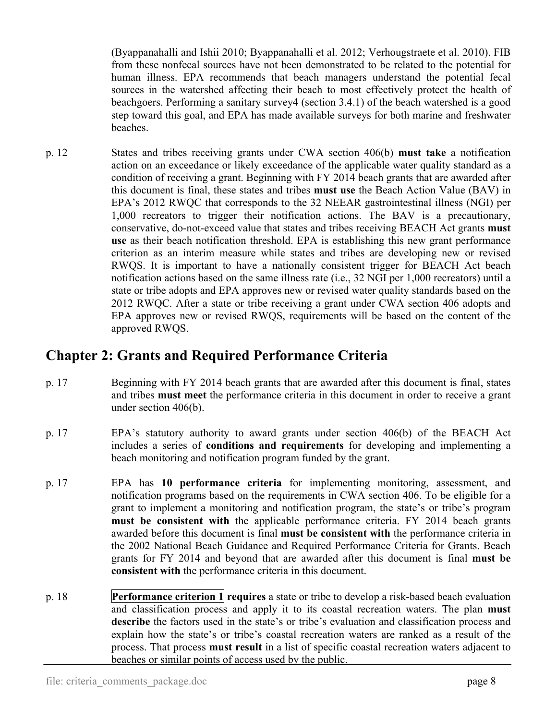(Byappanahalli and Ishii 2010; Byappanahalli et al. 2012; Verhougstraete et al. 2010). FIB from these nonfecal sources have not been demonstrated to be related to the potential for human illness. EPA recommends that beach managers understand the potential fecal sources in the watershed affecting their beach to most effectively protect the health of beachgoers. Performing a sanitary survey4 (section 3.4.1) of the beach watershed is a good step toward this goal, and EPA has made available surveys for both marine and freshwater beaches.

p. 12 States and tribes receiving grants under CWA section 406(b) **must take** a notification action on an exceedance or likely exceedance of the applicable water quality standard as a condition of receiving a grant. Beginning with FY 2014 beach grants that are awarded after this document is final, these states and tribes **must use** the Beach Action Value (BAV) in EPA's 2012 RWQC that corresponds to the 32 NEEAR gastrointestinal illness (NGI) per 1,000 recreators to trigger their notification actions. The BAV is a precautionary, conservative, do-not-exceed value that states and tribes receiving BEACH Act grants **must use** as their beach notification threshold. EPA is establishing this new grant performance criterion as an interim measure while states and tribes are developing new or revised RWQS. It is important to have a nationally consistent trigger for BEACH Act beach notification actions based on the same illness rate (i.e., 32 NGI per 1,000 recreators) until a state or tribe adopts and EPA approves new or revised water quality standards based on the 2012 RWQC. After a state or tribe receiving a grant under CWA section 406 adopts and EPA approves new or revised RWQS, requirements will be based on the content of the approved RWQS.

# **Chapter 2: Grants and Required Performance Criteria**

- p. 17 Beginning with FY 2014 beach grants that are awarded after this document is final, states and tribes **must meet** the performance criteria in this document in order to receive a grant under section 406(b).
- p. 17 EPA's statutory authority to award grants under section 406(b) of the BEACH Act includes a series of **conditions and requirements** for developing and implementing a beach monitoring and notification program funded by the grant.
- p. 17 EPA has **10 performance criteria** for implementing monitoring, assessment, and notification programs based on the requirements in CWA section 406. To be eligible for a grant to implement a monitoring and notification program, the state's or tribe's program **must be consistent with** the applicable performance criteria. FY 2014 beach grants awarded before this document is final **must be consistent with** the performance criteria in the 2002 National Beach Guidance and Required Performance Criteria for Grants. Beach grants for FY 2014 and beyond that are awarded after this document is final **must be consistent with** the performance criteria in this document.
- p. 18 **Performance criterion 1 requires** a state or tribe to develop a risk-based beach evaluation and classification process and apply it to its coastal recreation waters. The plan **must describe** the factors used in the state's or tribe's evaluation and classification process and explain how the state's or tribe's coastal recreation waters are ranked as a result of the process. That process **must result** in a list of specific coastal recreation waters adjacent to beaches or similar points of access used by the public.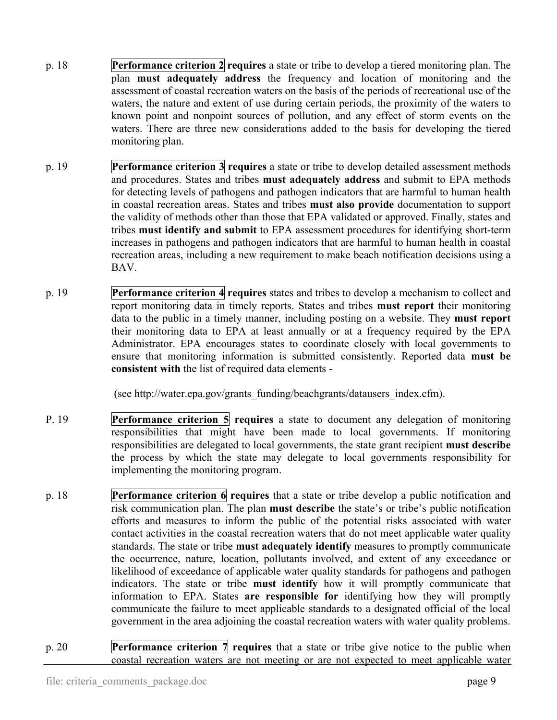- p. 18 **Performance criterion 2 requires** a state or tribe to develop a tiered monitoring plan. The plan **must adequately address** the frequency and location of monitoring and the assessment of coastal recreation waters on the basis of the periods of recreational use of the waters, the nature and extent of use during certain periods, the proximity of the waters to known point and nonpoint sources of pollution, and any effect of storm events on the waters. There are three new considerations added to the basis for developing the tiered monitoring plan.
- p. 19 **Performance criterion 3 requires** a state or tribe to develop detailed assessment methods and procedures. States and tribes **must adequately address** and submit to EPA methods for detecting levels of pathogens and pathogen indicators that are harmful to human health in coastal recreation areas. States and tribes **must also provide** documentation to support the validity of methods other than those that EPA validated or approved. Finally, states and tribes **must identify and submit** to EPA assessment procedures for identifying short-term increases in pathogens and pathogen indicators that are harmful to human health in coastal recreation areas, including a new requirement to make beach notification decisions using a BAV.
- p. 19 **Performance criterion 4 requires** states and tribes to develop a mechanism to collect and report monitoring data in timely reports. States and tribes **must report** their monitoring data to the public in a timely manner, including posting on a website. They **must report** their monitoring data to EPA at least annually or at a frequency required by the EPA Administrator. EPA encourages states to coordinate closely with local governments to ensure that monitoring information is submitted consistently. Reported data **must be consistent with** the list of required data elements -

(see http://water.epa.gov/grants\_funding/beachgrants/datausers\_index.cfm).

- P. 19 **Performance criterion 5 requires** a state to document any delegation of monitoring responsibilities that might have been made to local governments. If monitoring responsibilities are delegated to local governments, the state grant recipient **must describe** the process by which the state may delegate to local governments responsibility for implementing the monitoring program.
- p. 18 **Performance criterion 6 requires** that a state or tribe develop a public notification and risk communication plan. The plan **must describe** the state's or tribe's public notification efforts and measures to inform the public of the potential risks associated with water contact activities in the coastal recreation waters that do not meet applicable water quality standards. The state or tribe **must adequately identify** measures to promptly communicate the occurrence, nature, location, pollutants involved, and extent of any exceedance or likelihood of exceedance of applicable water quality standards for pathogens and pathogen indicators. The state or tribe **must identify** how it will promptly communicate that information to EPA. States **are responsible for** identifying how they will promptly communicate the failure to meet applicable standards to a designated official of the local government in the area adjoining the coastal recreation waters with water quality problems.
- p. 20 **Performance criterion 7 requires** that a state or tribe give notice to the public when coastal recreation waters are not meeting or are not expected to meet applicable water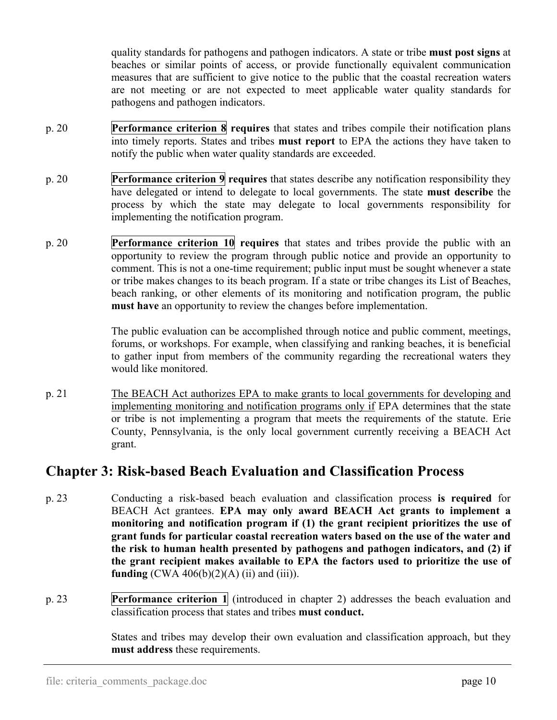quality standards for pathogens and pathogen indicators. A state or tribe **must post signs** at beaches or similar points of access, or provide functionally equivalent communication measures that are sufficient to give notice to the public that the coastal recreation waters are not meeting or are not expected to meet applicable water quality standards for pathogens and pathogen indicators.

- p. 20 **Performance criterion 8 requires** that states and tribes compile their notification plans into timely reports. States and tribes **must report** to EPA the actions they have taken to notify the public when water quality standards are exceeded.
- p. 20 **Performance criterion 9 requires** that states describe any notification responsibility they have delegated or intend to delegate to local governments. The state **must describe** the process by which the state may delegate to local governments responsibility for implementing the notification program.
- p. 20 **Performance criterion 10 requires** that states and tribes provide the public with an opportunity to review the program through public notice and provide an opportunity to comment. This is not a one-time requirement; public input must be sought whenever a state or tribe makes changes to its beach program. If a state or tribe changes its List of Beaches, beach ranking, or other elements of its monitoring and notification program, the public **must have** an opportunity to review the changes before implementation.

 The public evaluation can be accomplished through notice and public comment, meetings, forums, or workshops. For example, when classifying and ranking beaches, it is beneficial to gather input from members of the community regarding the recreational waters they would like monitored.

p. 21 The BEACH Act authorizes EPA to make grants to local governments for developing and implementing monitoring and notification programs only if EPA determines that the state or tribe is not implementing a program that meets the requirements of the statute. Erie County, Pennsylvania, is the only local government currently receiving a BEACH Act grant.

# **Chapter 3: Risk-based Beach Evaluation and Classification Process**

- p. 23 Conducting a risk-based beach evaluation and classification process **is required** for BEACH Act grantees. **EPA may only award BEACH Act grants to implement a monitoring and notification program if (1) the grant recipient prioritizes the use of grant funds for particular coastal recreation waters based on the use of the water and the risk to human health presented by pathogens and pathogen indicators, and (2) if the grant recipient makes available to EPA the factors used to prioritize the use of funding** (CWA  $406(b)(2)(A)$  (ii) and (iii)).
- p. 23 **Performance criterion 1** (introduced in chapter 2) addresses the beach evaluation and classification process that states and tribes **must conduct.**

 States and tribes may develop their own evaluation and classification approach, but they **must address** these requirements.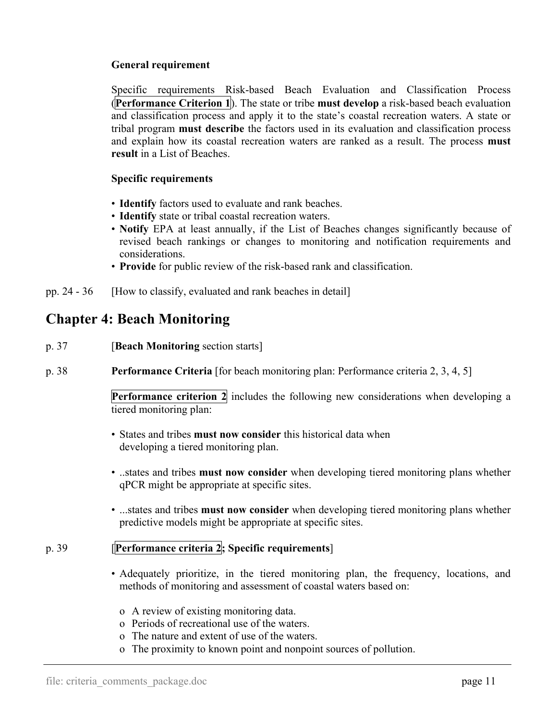#### **General requirement**

 Specific requirements Risk-based Beach Evaluation and Classification Process (**Performance Criterion 1**). The state or tribe **must develop** a risk-based beach evaluation and classification process and apply it to the state's coastal recreation waters. A state or tribal program **must describe** the factors used in its evaluation and classification process and explain how its coastal recreation waters are ranked as a result. The process **must result** in a List of Beaches.

#### **Specific requirements**

- **Identify** factors used to evaluate and rank beaches.
- **Identify** state or tribal coastal recreation waters.
- **Notify** EPA at least annually, if the List of Beaches changes significantly because of revised beach rankings or changes to monitoring and notification requirements and considerations.
- **Provide** for public review of the risk-based rank and classification.
- pp. 24 36 [How to classify, evaluated and rank beaches in detail]

# **Chapter 4: Beach Monitoring**

- p. 37 [**Beach Monitoring** section starts]
- p. 38 **Performance Criteria** [for beach monitoring plan: Performance criteria 2, 3, 4, 5]

**Performance criterion 2** includes the following new considerations when developing a tiered monitoring plan:

- States and tribes **must now consider** this historical data when developing a tiered monitoring plan.
- ..states and tribes **must now consider** when developing tiered monitoring plans whether qPCR might be appropriate at specific sites.
- ...states and tribes **must now consider** when developing tiered monitoring plans whether predictive models might be appropriate at specific sites.

#### p. 39 [**Performance criteria 2; Specific requirements**]

- Adequately prioritize, in the tiered monitoring plan, the frequency, locations, and methods of monitoring and assessment of coastal waters based on:
	- o A review of existing monitoring data.
	- o Periods of recreational use of the waters.
	- o The nature and extent of use of the waters.
	- o The proximity to known point and nonpoint sources of pollution.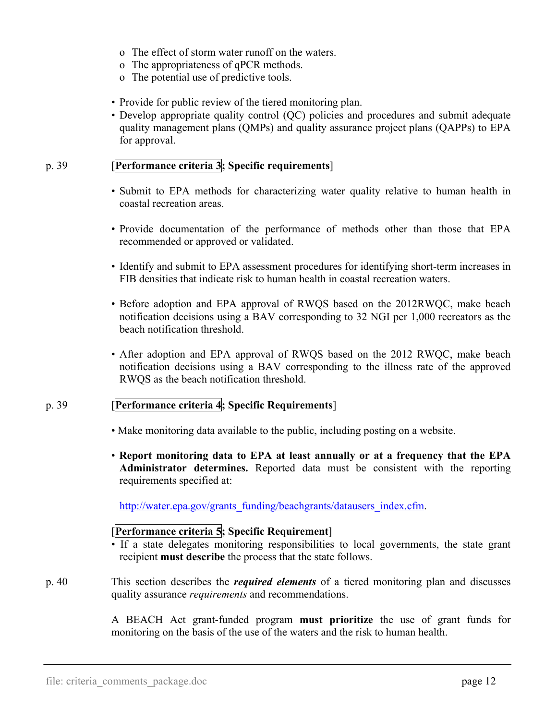- o The effect of storm water runoff on the waters.
- o The appropriateness of qPCR methods.
- o The potential use of predictive tools.
- Provide for public review of the tiered monitoring plan.
- Develop appropriate quality control (QC) policies and procedures and submit adequate quality management plans (QMPs) and quality assurance project plans (QAPPs) to EPA for approval.

### p. 39 [**Performance criteria 3; Specific requirements**]

- Submit to EPA methods for characterizing water quality relative to human health in coastal recreation areas.
- Provide documentation of the performance of methods other than those that EPA recommended or approved or validated.
- Identify and submit to EPA assessment procedures for identifying short-term increases in FIB densities that indicate risk to human health in coastal recreation waters.
- Before adoption and EPA approval of RWQS based on the 2012RWQC, make beach notification decisions using a BAV corresponding to 32 NGI per 1,000 recreators as the beach notification threshold.
- After adoption and EPA approval of RWQS based on the 2012 RWQC, make beach notification decisions using a BAV corresponding to the illness rate of the approved RWQS as the beach notification threshold.

#### p. 39 [**Performance criteria 4; Specific Requirements**]

- Make monitoring data available to the public, including posting on a website.
- **Report monitoring data to EPA at least annually or at a frequency that the EPA Administrator determines.** Reported data must be consistent with the reporting requirements specified at:

[http://water.epa.gov/grants\\_funding/beachgrants/datausers\\_index.cfm.](http://water.epa.gov/grants_funding/beachgrants/datausers_index.cfm)

### [**Performance criteria 5; Specific Requirement**]

• If a state delegates monitoring responsibilities to local governments, the state grant recipient **must describe** the process that the state follows.

p. 40 This section describes the *required elements* of a tiered monitoring plan and discusses quality assurance *requirements* and recommendations.

> A BEACH Act grant-funded program **must prioritize** the use of grant funds for monitoring on the basis of the use of the waters and the risk to human health.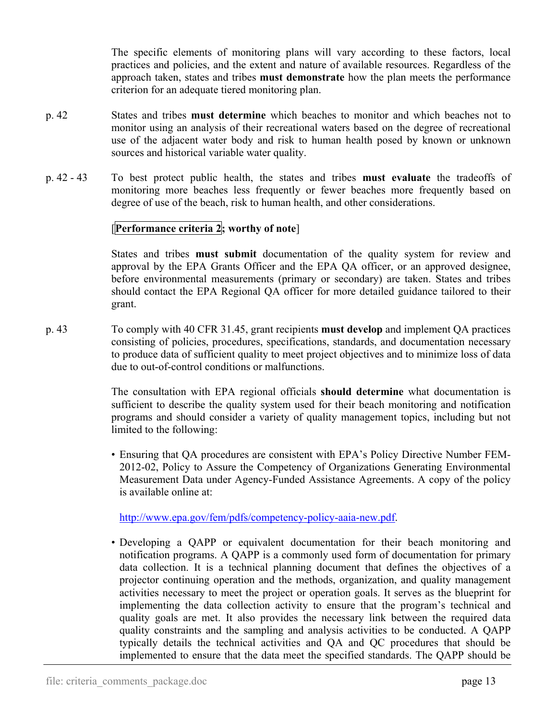The specific elements of monitoring plans will vary according to these factors, local practices and policies, and the extent and nature of available resources. Regardless of the approach taken, states and tribes **must demonstrate** how the plan meets the performance criterion for an adequate tiered monitoring plan.

- p. 42 States and tribes **must determine** which beaches to monitor and which beaches not to monitor using an analysis of their recreational waters based on the degree of recreational use of the adjacent water body and risk to human health posed by known or unknown sources and historical variable water quality.
- p. 42 43 To best protect public health, the states and tribes **must evaluate** the tradeoffs of monitoring more beaches less frequently or fewer beaches more frequently based on degree of use of the beach, risk to human health, and other considerations.

### [**Performance criteria 2; worthy of note**]

 States and tribes **must submit** documentation of the quality system for review and approval by the EPA Grants Officer and the EPA QA officer, or an approved designee, before environmental measurements (primary or secondary) are taken. States and tribes should contact the EPA Regional QA officer for more detailed guidance tailored to their grant.

p. 43 To comply with 40 CFR 31.45, grant recipients **must develop** and implement QA practices consisting of policies, procedures, specifications, standards, and documentation necessary to produce data of sufficient quality to meet project objectives and to minimize loss of data due to out-of-control conditions or malfunctions.

> The consultation with EPA regional officials **should determine** what documentation is sufficient to describe the quality system used for their beach monitoring and notification programs and should consider a variety of quality management topics, including but not limited to the following:

> • Ensuring that QA procedures are consistent with EPA's Policy Directive Number FEM-2012-02, Policy to Assure the Competency of Organizations Generating Environmental Measurement Data under Agency-Funded Assistance Agreements. A copy of the policy is available online at:

[http://www.epa.gov/fem/pdfs/competency-policy-aaia-new.pdf.](http://www.epa.gov/fem/pdfs/competency-policy-aaia-new.pdf)

• Developing a QAPP or equivalent documentation for their beach monitoring and notification programs. A QAPP is a commonly used form of documentation for primary data collection. It is a technical planning document that defines the objectives of a projector continuing operation and the methods, organization, and quality management activities necessary to meet the project or operation goals. It serves as the blueprint for implementing the data collection activity to ensure that the program's technical and quality goals are met. It also provides the necessary link between the required data quality constraints and the sampling and analysis activities to be conducted. A QAPP typically details the technical activities and QA and QC procedures that should be implemented to ensure that the data meet the specified standards. The QAPP should be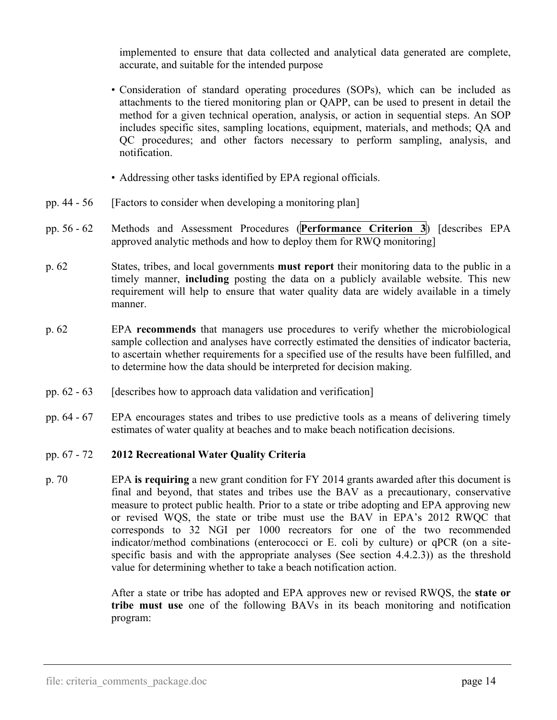implemented to ensure that data collected and analytical data generated are complete, accurate, and suitable for the intended purpose

- Consideration of standard operating procedures (SOPs), which can be included as attachments to the tiered monitoring plan or QAPP, can be used to present in detail the method for a given technical operation, analysis, or action in sequential steps. An SOP includes specific sites, sampling locations, equipment, materials, and methods; QA and QC procedures; and other factors necessary to perform sampling, analysis, and notification.
- Addressing other tasks identified by EPA regional officials.
- pp. 44 56 [Factors to consider when developing a monitoring plan]
- pp. 56 62 Methods and Assessment Procedures (**Performance Criterion 3**) [describes EPA approved analytic methods and how to deploy them for RWQ monitoring]
- p. 62 States, tribes, and local governments **must report** their monitoring data to the public in a timely manner, **including** posting the data on a publicly available website. This new requirement will help to ensure that water quality data are widely available in a timely manner.
- p. 62 EPA **recommends** that managers use procedures to verify whether the microbiological sample collection and analyses have correctly estimated the densities of indicator bacteria, to ascertain whether requirements for a specified use of the results have been fulfilled, and to determine how the data should be interpreted for decision making.
- pp.  $62 63$  [describes how to approach data validation and verification]
- pp. 64 67 EPA encourages states and tribes to use predictive tools as a means of delivering timely estimates of water quality at beaches and to make beach notification decisions.

#### pp. 67 - 72 **2012 Recreational Water Quality Criteria**

p. 70 EPA **is requiring** a new grant condition for FY 2014 grants awarded after this document is final and beyond, that states and tribes use the BAV as a precautionary, conservative measure to protect public health. Prior to a state or tribe adopting and EPA approving new or revised WQS, the state or tribe must use the BAV in EPA's 2012 RWQC that corresponds to 32 NGI per 1000 recreators for one of the two recommended indicator/method combinations (enterococci or E. coli by culture) or qPCR (on a sitespecific basis and with the appropriate analyses (See section 4.4.2.3)) as the threshold value for determining whether to take a beach notification action.

> After a state or tribe has adopted and EPA approves new or revised RWQS, the **state or tribe must use** one of the following BAVs in its beach monitoring and notification program: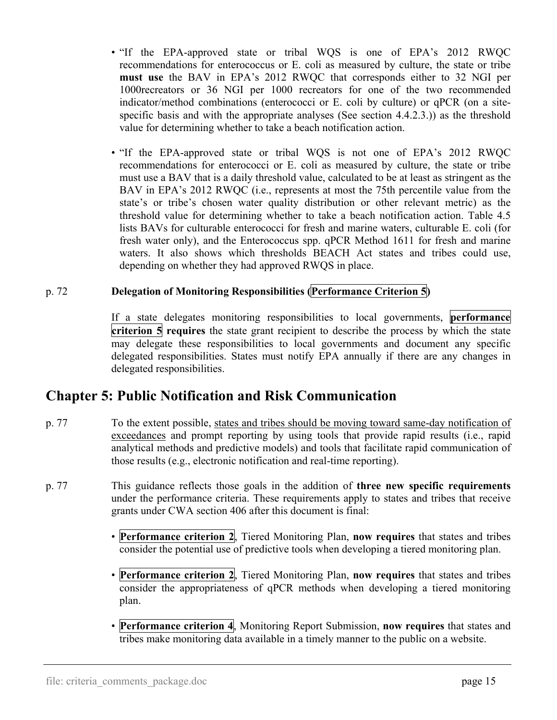- "If the EPA-approved state or tribal WQS is one of EPA's 2012 RWQC recommendations for enterococcus or E. coli as measured by culture, the state or tribe **must use** the BAV in EPA's 2012 RWQC that corresponds either to 32 NGI per 1000recreators or 36 NGI per 1000 recreators for one of the two recommended indicator/method combinations (enterococci or E. coli by culture) or qPCR (on a sitespecific basis and with the appropriate analyses (See section 4.4.2.3.)) as the threshold value for determining whether to take a beach notification action.
- "If the EPA-approved state or tribal WQS is not one of EPA's 2012 RWQC recommendations for enterococci or E. coli as measured by culture, the state or tribe must use a BAV that is a daily threshold value, calculated to be at least as stringent as the BAV in EPA's 2012 RWQC (i.e., represents at most the 75th percentile value from the state's or tribe's chosen water quality distribution or other relevant metric) as the threshold value for determining whether to take a beach notification action. Table 4.5 lists BAVs for culturable enterococci for fresh and marine waters, culturable E. coli (for fresh water only), and the Enterococcus spp. qPCR Method 1611 for fresh and marine waters. It also shows which thresholds BEACH Act states and tribes could use, depending on whether they had approved RWQS in place.

#### p. 72 **Delegation of Monitoring Responsibilities (Performance Criterion 5)**

 If a state delegates monitoring responsibilities to local governments, **performance criterion 5 requires** the state grant recipient to describe the process by which the state may delegate these responsibilities to local governments and document any specific delegated responsibilities. States must notify EPA annually if there are any changes in delegated responsibilities.

# **Chapter 5: Public Notification and Risk Communication**

- p. 77 To the extent possible, states and tribes should be moving toward same-day notification of exceedances and prompt reporting by using tools that provide rapid results (i.e., rapid analytical methods and predictive models) and tools that facilitate rapid communication of those results (e.g., electronic notification and real-time reporting).
- p. 77 This guidance reflects those goals in the addition of **three new specific requirements** under the performance criteria. These requirements apply to states and tribes that receive grants under CWA section 406 after this document is final:
	- **Performance criterion 2**, Tiered Monitoring Plan, **now requires** that states and tribes consider the potential use of predictive tools when developing a tiered monitoring plan.
	- **Performance criterion 2**, Tiered Monitoring Plan, **now requires** that states and tribes consider the appropriateness of qPCR methods when developing a tiered monitoring plan.
	- **Performance criterion 4**, Monitoring Report Submission, **now requires** that states and tribes make monitoring data available in a timely manner to the public on a website.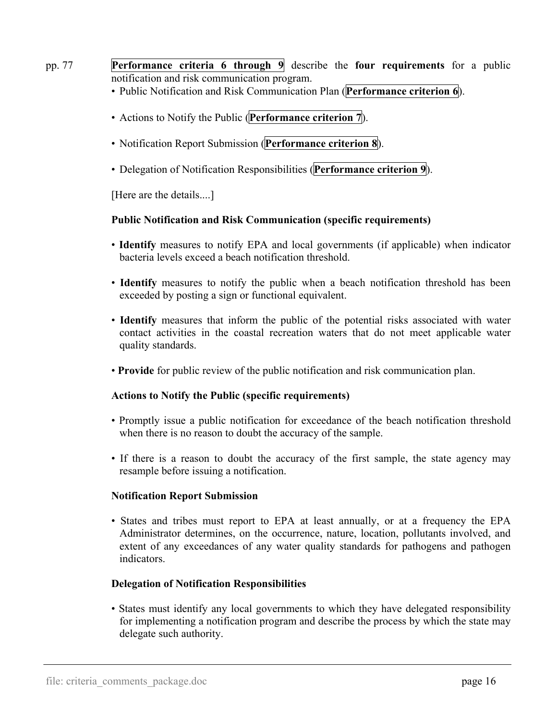- pp. 77 **Performance criteria 6 through 9** describe the **four requirements** for a public notification and risk communication program.
	- Public Notification and Risk Communication Plan (**Performance criterion 6**).
	- Actions to Notify the Public (**Performance criterion 7**).
	- Notification Report Submission (**Performance criterion 8**).
	- Delegation of Notification Responsibilities (**Performance criterion 9**).

[Here are the details....]

#### **Public Notification and Risk Communication (specific requirements)**

- **Identify** measures to notify EPA and local governments (if applicable) when indicator bacteria levels exceed a beach notification threshold.
- **Identify** measures to notify the public when a beach notification threshold has been exceeded by posting a sign or functional equivalent.
- **Identify** measures that inform the public of the potential risks associated with water contact activities in the coastal recreation waters that do not meet applicable water quality standards.
- **Provide** for public review of the public notification and risk communication plan.

#### **Actions to Notify the Public (specific requirements)**

- Promptly issue a public notification for exceedance of the beach notification threshold when there is no reason to doubt the accuracy of the sample.
- If there is a reason to doubt the accuracy of the first sample, the state agency may resample before issuing a notification.

#### **Notification Report Submission**

• States and tribes must report to EPA at least annually, or at a frequency the EPA Administrator determines, on the occurrence, nature, location, pollutants involved, and extent of any exceedances of any water quality standards for pathogens and pathogen indicators.

#### **Delegation of Notification Responsibilities**

• States must identify any local governments to which they have delegated responsibility for implementing a notification program and describe the process by which the state may delegate such authority.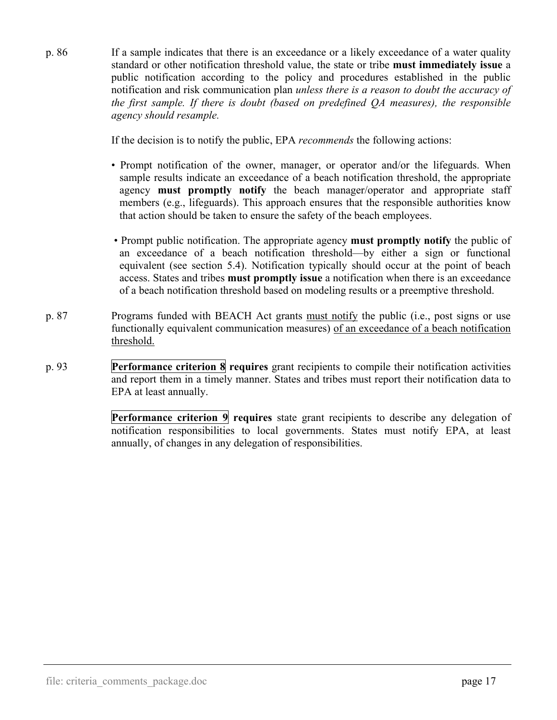p. 86 If a sample indicates that there is an exceedance or a likely exceedance of a water quality standard or other notification threshold value, the state or tribe **must immediately issue** a public notification according to the policy and procedures established in the public notification and risk communication plan *unless there is a reason to doubt the accuracy of the first sample. If there is doubt (based on predefined QA measures), the responsible agency should resample.*

If the decision is to notify the public, EPA *recommends* the following actions:

- Prompt notification of the owner, manager, or operator and/or the lifeguards. When sample results indicate an exceedance of a beach notification threshold, the appropriate agency **must promptly notify** the beach manager/operator and appropriate staff members (e.g., lifeguards). This approach ensures that the responsible authorities know that action should be taken to ensure the safety of the beach employees.
- Prompt public notification. The appropriate agency **must promptly notify** the public of an exceedance of a beach notification threshold—by either a sign or functional equivalent (see section 5.4). Notification typically should occur at the point of beach access. States and tribes **must promptly issue** a notification when there is an exceedance of a beach notification threshold based on modeling results or a preemptive threshold.
- p. 87 Programs funded with BEACH Act grants must notify the public (i.e., post signs or use functionally equivalent communication measures) of an exceedance of a beach notification threshold.
- p. 93 **Performance criterion 8 requires** grant recipients to compile their notification activities and report them in a timely manner. States and tribes must report their notification data to EPA at least annually.

**Performance criterion 9 requires** state grant recipients to describe any delegation of notification responsibilities to local governments. States must notify EPA, at least annually, of changes in any delegation of responsibilities.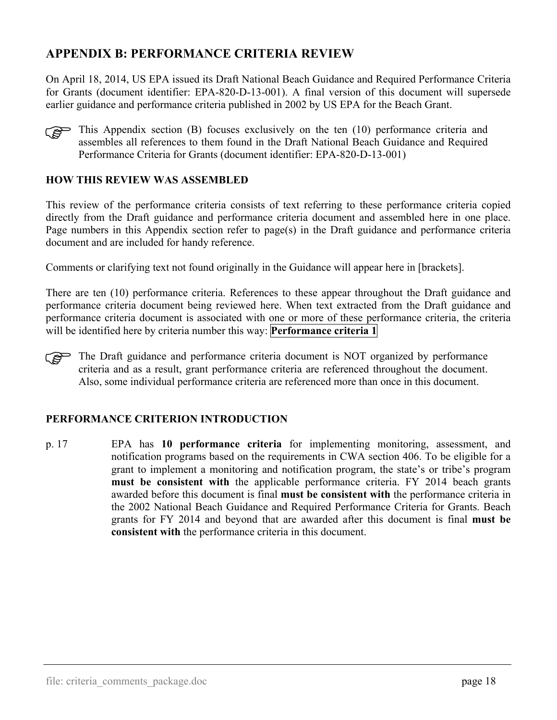# <span id="page-20-0"></span>**APPENDIX B: PERFORMANCE CRITERIA REVIEW**

On April 18, 2014, US EPA issued its Draft National Beach Guidance and Required Performance Criteria for Grants (document identifier: EPA-820-D-13-001). A final version of this document will supersede earlier guidance and performance criteria published in 2002 by US EPA for the Beach Grant.



This Appendix section (B) focuses exclusively on the ten  $(10)$  performance criteria and assembles all references to them found in the Draft National Beach Guidance and Required assembles all references to them found in the Draft National Beach Guidance and Required Performance Criteria for Grants (document identifier: EPA-820-D-13-001)

#### **HOW THIS REVIEW WAS ASSEMBLED**

This review of the performance criteria consists of text referring to these performance criteria copied directly from the Draft guidance and performance criteria document and assembled here in one place. Page numbers in this Appendix section refer to page(s) in the Draft guidance and performance criteria document and are included for handy reference.

Comments or clarifying text not found originally in the Guidance will appear here in [brackets].

There are ten (10) performance criteria. References to these appear throughout the Draft guidance and performance criteria document being reviewed here. When text extracted from the Draft guidance and performance criteria document is associated with one or more of these performance criteria, the criteria will be identified here by criteria number this way: **Performance criteria 1**

The Draft guidance and performance criteria document is NOT organized by performance criteria and as a result, grant performance criteria are referenced throughout the document. criteria and as a result, grant performance criteria are referenced throughout the document. Also, some individual performance criteria are referenced more than once in this document.

#### **PERFORMANCE CRITERION INTRODUCTION**

p. 17 EPA has **10 performance criteria** for implementing monitoring, assessment, and notification programs based on the requirements in CWA section 406. To be eligible for a grant to implement a monitoring and notification program, the state's or tribe's program **must be consistent with** the applicable performance criteria. FY 2014 beach grants awarded before this document is final **must be consistent with** the performance criteria in the 2002 National Beach Guidance and Required Performance Criteria for Grants. Beach grants for FY 2014 and beyond that are awarded after this document is final **must be consistent with** the performance criteria in this document.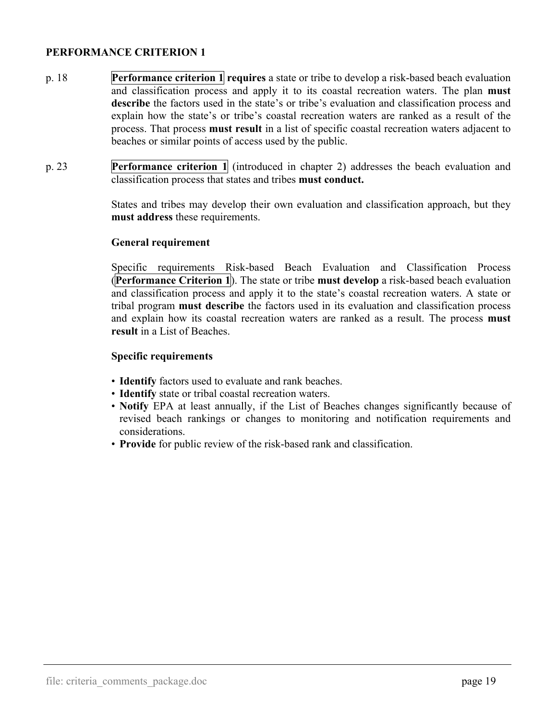- p. 18 **Performance criterion 1 requires** a state or tribe to develop a risk-based beach evaluation and classification process and apply it to its coastal recreation waters. The plan **must describe** the factors used in the state's or tribe's evaluation and classification process and explain how the state's or tribe's coastal recreation waters are ranked as a result of the process. That process **must result** in a list of specific coastal recreation waters adjacent to beaches or similar points of access used by the public.
- p. 23 **Performance criterion 1** (introduced in chapter 2) addresses the beach evaluation and classification process that states and tribes **must conduct.**

 States and tribes may develop their own evaluation and classification approach, but they **must address** these requirements.

#### <span id="page-21-0"></span>**General requirement**

 Specific requirements Risk-based Beach Evaluation and Classification Process (**Performance Criterion 1**). The state or tribe **must develop** a risk-based beach evaluation and classification process and apply it to the state's coastal recreation waters. A state or tribal program **must describe** the factors used in its evaluation and classification process and explain how its coastal recreation waters are ranked as a result. The process **must result** in a List of Beaches.

#### **Specific requirements**

- **Identify** factors used to evaluate and rank beaches.
- **Identify** state or tribal coastal recreation waters.
- **Notify** EPA at least annually, if the List of Beaches changes significantly because of revised beach rankings or changes to monitoring and notification requirements and considerations.
- **Provide** for public review of the risk-based rank and classification.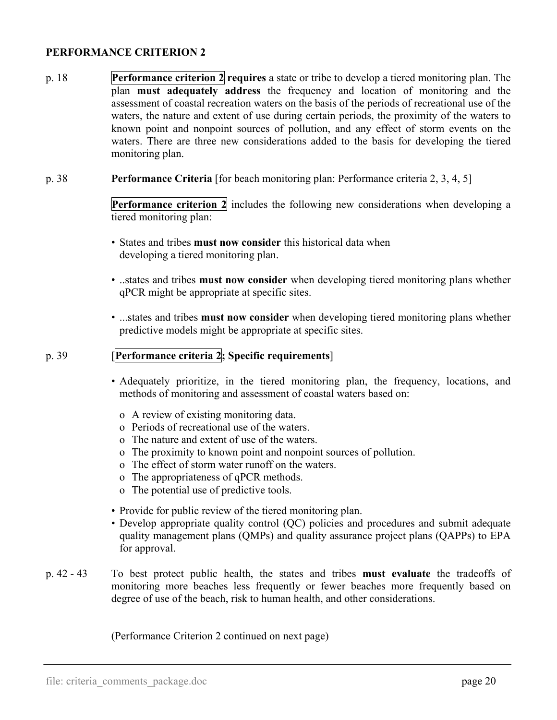- p. 18 **Performance criterion 2 requires** a state or tribe to develop a tiered monitoring plan. The plan **must adequately address** the frequency and location of monitoring and the assessment of coastal recreation waters on the basis of the periods of recreational use of the waters, the nature and extent of use during certain periods, the proximity of the waters to known point and nonpoint sources of pollution, and any effect of storm events on the waters. There are three new considerations added to the basis for developing the tiered monitoring plan.
- p. 38 **Performance Criteria** [for beach monitoring plan: Performance criteria 2, 3, 4, 5]

<span id="page-22-0"></span>**Performance criterion 2** includes the following new considerations when developing a tiered monitoring plan:

- States and tribes **must now consider** this historical data when developing a tiered monitoring plan.
- ..states and tribes **must now consider** when developing tiered monitoring plans whether qPCR might be appropriate at specific sites.
- ...states and tribes **must now consider** when developing tiered monitoring plans whether predictive models might be appropriate at specific sites.

#### p. 39 [**Performance criteria 2; Specific requirements**]

- Adequately prioritize, in the tiered monitoring plan, the frequency, locations, and methods of monitoring and assessment of coastal waters based on:
	- o A review of existing monitoring data.
	- o Periods of recreational use of the waters.
	- o The nature and extent of use of the waters.
	- o The proximity to known point and nonpoint sources of pollution.
	- o The effect of storm water runoff on the waters.
	- o The appropriateness of qPCR methods.
	- o The potential use of predictive tools.
- Provide for public review of the tiered monitoring plan.
- Develop appropriate quality control (QC) policies and procedures and submit adequate quality management plans (QMPs) and quality assurance project plans (QAPPs) to EPA for approval.
- p. 42 43 To best protect public health, the states and tribes **must evaluate** the tradeoffs of monitoring more beaches less frequently or fewer beaches more frequently based on degree of use of the beach, risk to human health, and other considerations.

(Performance Criterion 2 continued on next page)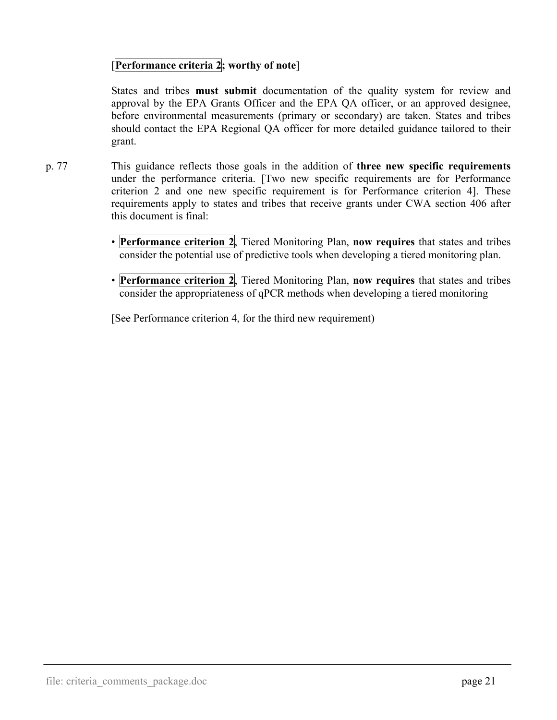### [**Performance criteria 2; worthy of note**]

 States and tribes **must submit** documentation of the quality system for review and approval by the EPA Grants Officer and the EPA QA officer, or an approved designee, before environmental measurements (primary or secondary) are taken. States and tribes should contact the EPA Regional QA officer for more detailed guidance tailored to their grant.

- p. 77 This guidance reflects those goals in the addition of **three new specific requirements** under the performance criteria. [Two new specific requirements are for Performance criterion 2 and one new specific requirement is for Performance criterion 4]. These requirements apply to states and tribes that receive grants under CWA section 406 after this document is final:
	- **Performance criterion 2**, Tiered Monitoring Plan, **now requires** that states and tribes consider the potential use of predictive tools when developing a tiered monitoring plan.
	- **Performance criterion 2**, Tiered Monitoring Plan, **now requires** that states and tribes consider the appropriateness of qPCR methods when developing a tiered monitoring

[See Performance criterion 4, for the third new requirement)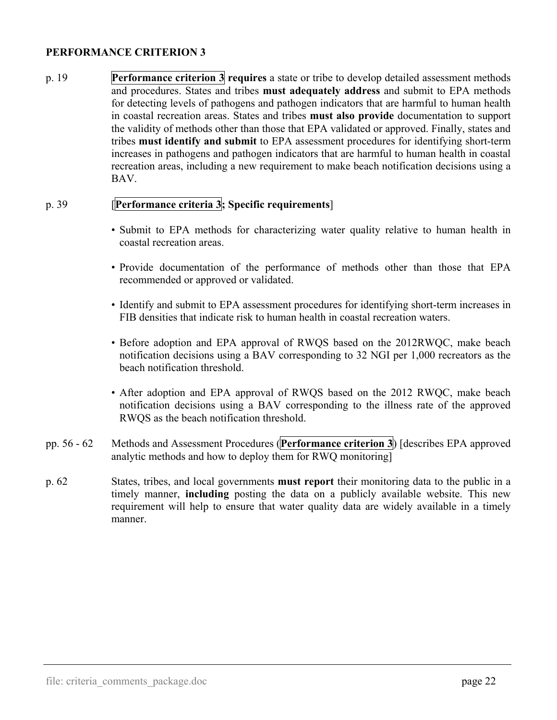p. 19 **Performance criterion 3 requires** a state or tribe to develop detailed assessment methods and procedures. States and tribes **must adequately address** and submit to EPA methods for detecting levels of pathogens and pathogen indicators that are harmful to human health in coastal recreation areas. States and tribes **must also provide** documentation to support the validity of methods other than those that EPA validated or approved. Finally, states and tribes **must identify and submit** to EPA assessment procedures for identifying short-term increases in pathogens and pathogen indicators that are harmful to human health in coastal recreation areas, including a new requirement to make beach notification decisions using a BAV.

### p. 39 [**Performance criteria 3; Specific requirements**]

- <span id="page-24-0"></span>• Submit to EPA methods for characterizing water quality relative to human health in coastal recreation areas.
- Provide documentation of the performance of methods other than those that EPA recommended or approved or validated.
- Identify and submit to EPA assessment procedures for identifying short-term increases in FIB densities that indicate risk to human health in coastal recreation waters.
- Before adoption and EPA approval of RWQS based on the 2012RWQC, make beach notification decisions using a BAV corresponding to 32 NGI per 1,000 recreators as the beach notification threshold.
- After adoption and EPA approval of RWQS based on the 2012 RWQC, make beach notification decisions using a BAV corresponding to the illness rate of the approved RWQS as the beach notification threshold.
- pp. 56 62 Methods and Assessment Procedures (**Performance criterion 3**) [describes EPA approved analytic methods and how to deploy them for RWQ monitoring]
- p. 62 States, tribes, and local governments **must report** their monitoring data to the public in a timely manner, **including** posting the data on a publicly available website. This new requirement will help to ensure that water quality data are widely available in a timely manner.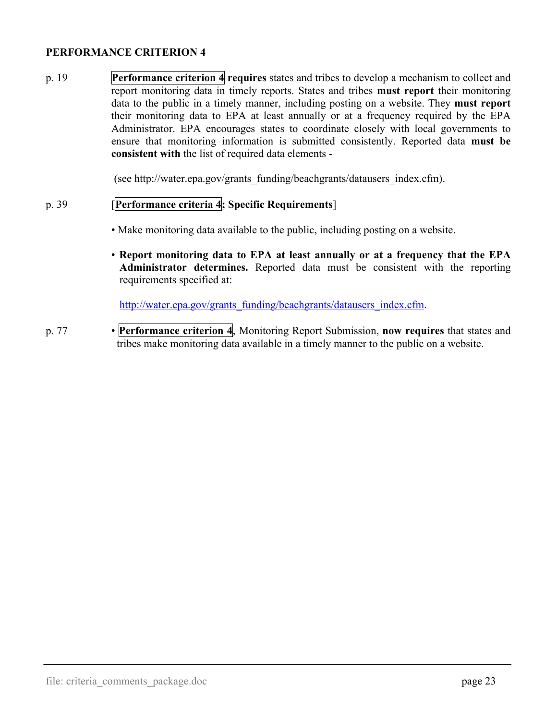p. 19 **Performance criterion 4 requires** states and tribes to develop a mechanism to collect and report monitoring data in timely reports. States and tribes **must report** their monitoring data to the public in a timely manner, including posting on a website. They **must report** their monitoring data to EPA at least annually or at a frequency required by the EPA Administrator. EPA encourages states to coordinate closely with local governments to ensure that monitoring information is submitted consistently. Reported data **must be consistent with** the list of required data elements -

(see http://water.epa.gov/grants\_funding/beachgrants/datausers\_index.cfm).

### p. 39 [**Performance criteria 4; Specific Requirements**]

- Make monitoring data available to the public, including posting on a website.
- **Report monitoring data to EPA at least annually or at a frequency that the EPA Administrator determines.** Reported data must be consistent with the reporting requirements specified at:

<span id="page-25-0"></span>[http://water.epa.gov/grants\\_funding/beachgrants/datausers\\_index.cfm.](http://water.epa.gov/grants_funding/beachgrants/datausers_index.cfm)

p. 77 • **Performance criterion 4**, Monitoring Report Submission, **now requires** that states and tribes make monitoring data available in a timely manner to the public on a website.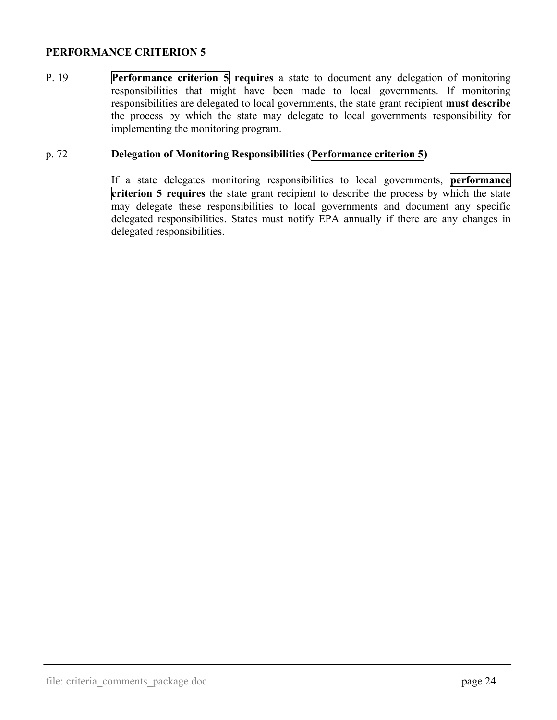P. 19 **Performance criterion 5 requires** a state to document any delegation of monitoring responsibilities that might have been made to local governments. If monitoring responsibilities are delegated to local governments, the state grant recipient **must describe** the process by which the state may delegate to local governments responsibility for implementing the monitoring program.

#### p. 72 **Delegation of Monitoring Responsibilities (Performance criterion 5)**

<span id="page-26-0"></span> If a state delegates monitoring responsibilities to local governments, **performance criterion 5 requires** the state grant recipient to describe the process by which the state may delegate these responsibilities to local governments and document any specific delegated responsibilities. States must notify EPA annually if there are any changes in delegated responsibilities.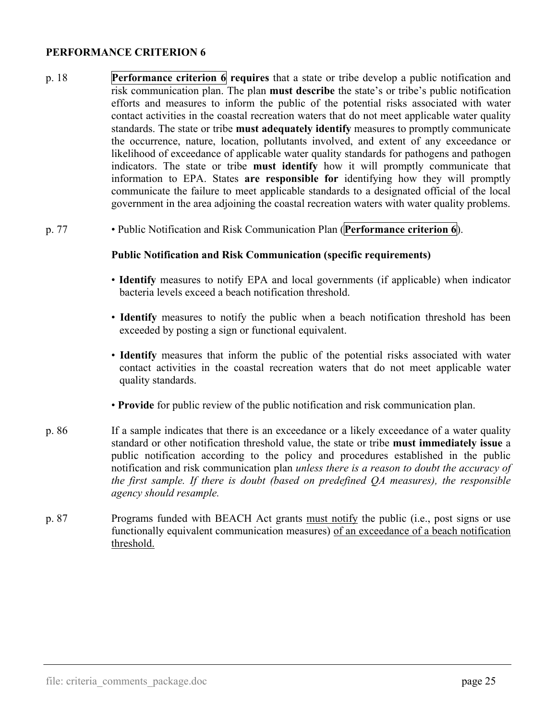- p. 18 **Performance criterion 6 requires** that a state or tribe develop a public notification and risk communication plan. The plan **must describe** the state's or tribe's public notification efforts and measures to inform the public of the potential risks associated with water contact activities in the coastal recreation waters that do not meet applicable water quality standards. The state or tribe **must adequately identify** measures to promptly communicate the occurrence, nature, location, pollutants involved, and extent of any exceedance or likelihood of exceedance of applicable water quality standards for pathogens and pathogen indicators. The state or tribe **must identify** how it will promptly communicate that information to EPA. States **are responsible for** identifying how they will promptly communicate the failure to meet applicable standards to a designated official of the local government in the area adjoining the coastal recreation waters with water quality problems.
- p. 77 Public Notification and Risk Communication Plan (**Performance criterion 6**).

#### <span id="page-27-0"></span> **Public Notification and Risk Communication (specific requirements)**

- **Identify** measures to notify EPA and local governments (if applicable) when indicator bacteria levels exceed a beach notification threshold.
- **Identify** measures to notify the public when a beach notification threshold has been exceeded by posting a sign or functional equivalent.
- **Identify** measures that inform the public of the potential risks associated with water contact activities in the coastal recreation waters that do not meet applicable water quality standards.
- **Provide** for public review of the public notification and risk communication plan.
- p. 86 If a sample indicates that there is an exceedance or a likely exceedance of a water quality standard or other notification threshold value, the state or tribe **must immediately issue** a public notification according to the policy and procedures established in the public notification and risk communication plan *unless there is a reason to doubt the accuracy of the first sample. If there is doubt (based on predefined QA measures), the responsible agency should resample.*
- p. 87 Programs funded with BEACH Act grants must notify the public (i.e., post signs or use functionally equivalent communication measures) of an exceedance of a beach notification threshold.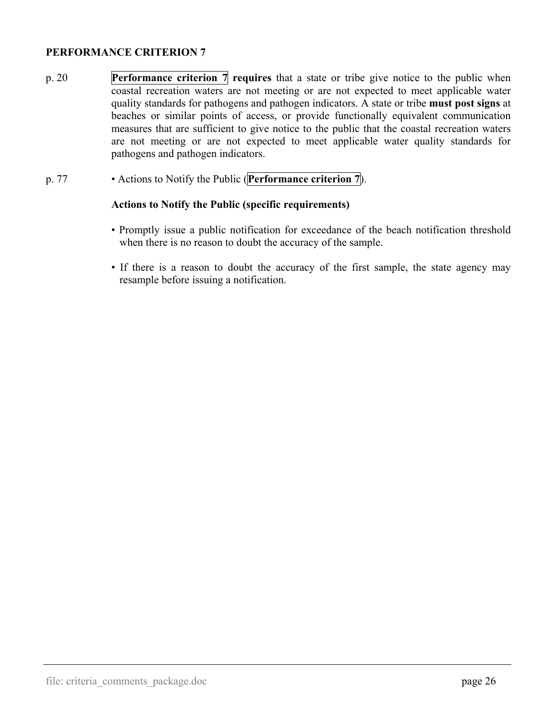- p. 20 **Performance criterion 7 requires** that a state or tribe give notice to the public when coastal recreation waters are not meeting or are not expected to meet applicable water quality standards for pathogens and pathogen indicators. A state or tribe **must post signs** at beaches or similar points of access, or provide functionally equivalent communication measures that are sufficient to give notice to the public that the coastal recreation waters are not meeting or are not expected to meet applicable water quality standards for pathogens and pathogen indicators.
- p. 77 Actions to Notify the Public (**Performance criterion 7**).

#### **Actions to Notify the Public (specific requirements)**

- <span id="page-28-0"></span>• Promptly issue a public notification for exceedance of the beach notification threshold when there is no reason to doubt the accuracy of the sample.
- If there is a reason to doubt the accuracy of the first sample, the state agency may resample before issuing a notification.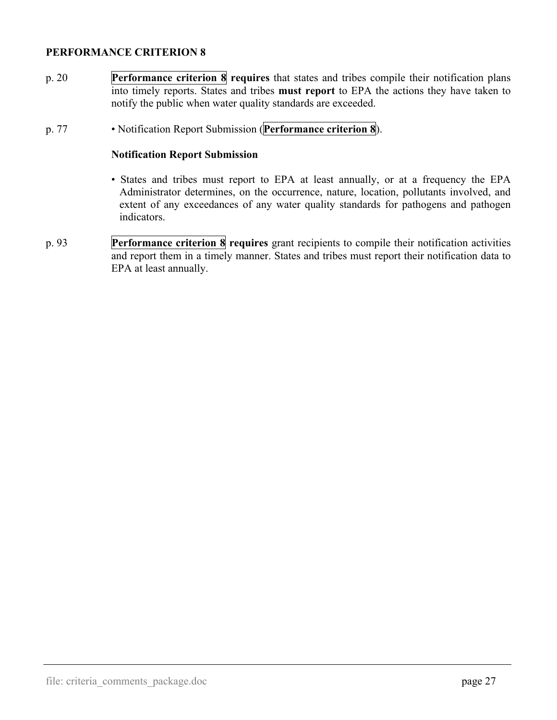- p. 20 **Performance criterion 8 requires** that states and tribes compile their notification plans into timely reports. States and tribes **must report** to EPA the actions they have taken to notify the public when water quality standards are exceeded.
- p. 77 Notification Report Submission (**Performance criterion 8**).

#### **Notification Report Submission**

- <span id="page-29-0"></span>• States and tribes must report to EPA at least annually, or at a frequency the EPA Administrator determines, on the occurrence, nature, location, pollutants involved, and extent of any exceedances of any water quality standards for pathogens and pathogen indicators.
- p. 93 **Performance criterion 8 requires** grant recipients to compile their notification activities and report them in a timely manner. States and tribes must report their notification data to EPA at least annually.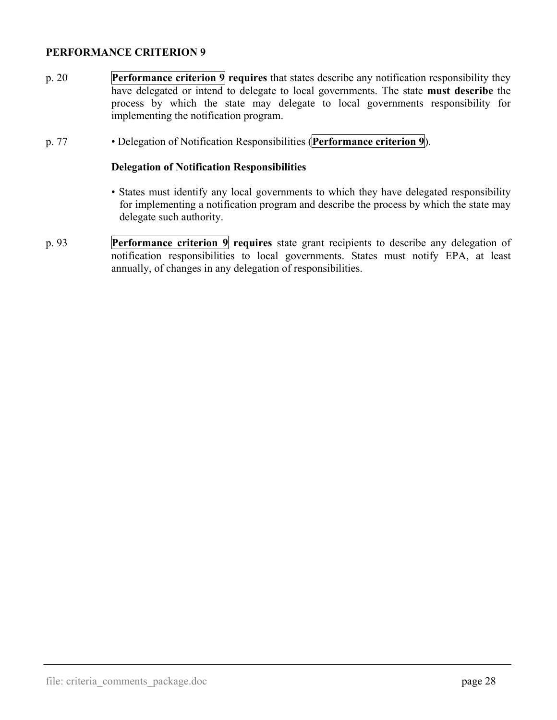- p. 20 **Performance criterion 9 requires** that states describe any notification responsibility they have delegated or intend to delegate to local governments. The state **must describe** the process by which the state may delegate to local governments responsibility for implementing the notification program.
- p. 77 Delegation of Notification Responsibilities (**Performance criterion 9**).

#### **Delegation of Notification Responsibilities**

- <span id="page-30-0"></span>• States must identify any local governments to which they have delegated responsibility for implementing a notification program and describe the process by which the state may delegate such authority.
- p. 93 **Performance criterion 9 requires** state grant recipients to describe any delegation of notification responsibilities to local governments. States must notify EPA, at least annually, of changes in any delegation of responsibilities.